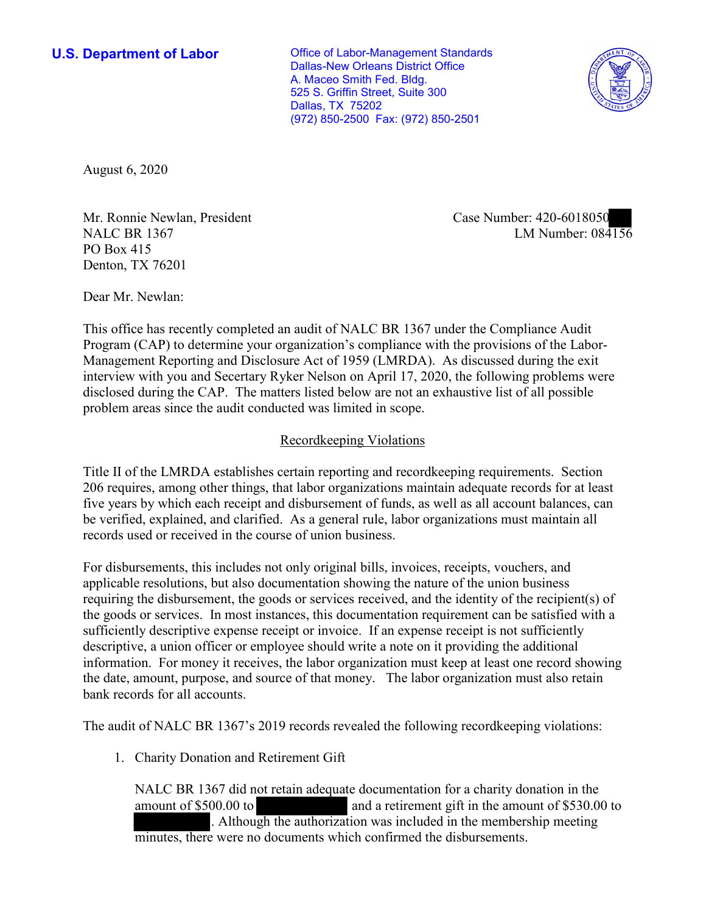**U.S. Department of Labor Conservative Conservative Conservative Conservative U.S.** Department of Labor Dallas-New Orleans District Office A. Maceo Smith Fed. Bldg. 525 S. Griffin Street, Suite 300 Dallas, TX 75202 (972) 850-2500 Fax: (972) 850-2501



August 6, 2020

Mr. Ronnie Newlan, President NALC BR 1367 PO Box 415 Denton, TX 76201

Case Number: 420-6018050 LM Number: 084156

Dear Mr. Newlan:

This office has recently completed an audit of NALC BR 1367 under the Compliance Audit Program (CAP) to determine your organization's compliance with the provisions of the Labor-Management Reporting and Disclosure Act of 1959 (LMRDA). As discussed during the exit interview with you and Secertary Ryker Nelson on April 17, 2020, the following problems were disclosed during the CAP. The matters listed below are not an exhaustive list of all possible problem areas since the audit conducted was limited in scope.

## Recordkeeping Violations

Title II of the LMRDA establishes certain reporting and recordkeeping requirements. Section 206 requires, among other things, that labor organizations maintain adequate records for at least five years by which each receipt and disbursement of funds, as well as all account balances, can be verified, explained, and clarified. As a general rule, labor organizations must maintain all records used or received in the course of union business.

For disbursements, this includes not only original bills, invoices, receipts, vouchers, and applicable resolutions, but also documentation showing the nature of the union business requiring the disbursement, the goods or services received, and the identity of the recipient(s) of the goods or services. In most instances, this documentation requirement can be satisfied with a sufficiently descriptive expense receipt or invoice. If an expense receipt is not sufficiently descriptive, a union officer or employee should write a note on it providing the additional information. For money it receives, the labor organization must keep at least one record showing the date, amount, purpose, and source of that money. The labor organization must also retain bank records for all accounts.

The audit of NALC BR 1367's 2019 records revealed the following recordkeeping violations:

1. Charity Donation and Retirement Gift

NALC BR 1367 did not retain adequate documentation for a charity donation in the amount of \$500.00 to and a retirement gift in the amount of \$530.00 to . Although the authorization was included in the membership meeting minutes, there were no documents which confirmed the disbursements.